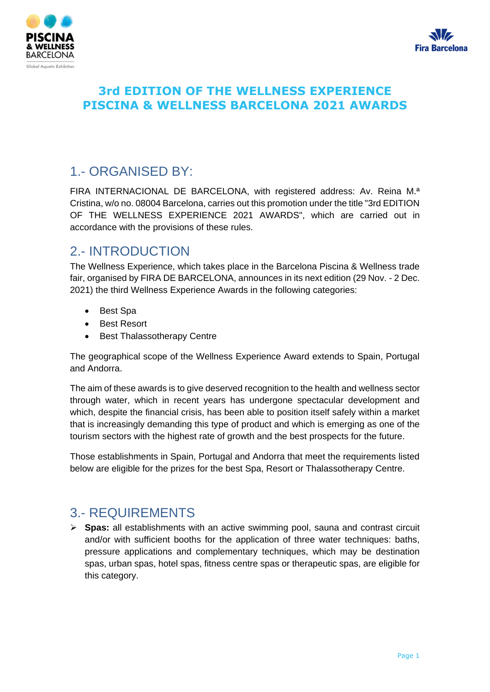



## 1.- ORGANISED BY:

FIRA INTERNACIONAL DE BARCELONA, with registered address: Av. Reina M.ª Cristina, w/o no. 08004 Barcelona, carries out this promotion under the title "3rd EDITION OF THE WELLNESS EXPERIENCE 2021 AWARDS", which are carried out in accordance with the provisions of these rules.

# 2.- INTRODUCTION

The Wellness Experience, which takes place in the Barcelona Piscina & Wellness trade fair, organised by FIRA DE BARCELONA, announces in its next edition (29 Nov. - 2 Dec. 2021) the third Wellness Experience Awards in the following categories:

- Best Spa
- Best Resort
- Best Thalassotherapy Centre

The geographical scope of the Wellness Experience Award extends to Spain, Portugal and Andorra.

The aim of these awards is to give deserved recognition to the health and wellness sector through water, which in recent years has undergone spectacular development and which, despite the financial crisis, has been able to position itself safely within a market that is increasingly demanding this type of product and which is emerging as one of the tourism sectors with the highest rate of growth and the best prospects for the future.

Those establishments in Spain, Portugal and Andorra that meet the requirements listed below are eligible for the prizes for the best Spa, Resort or Thalassotherapy Centre.

## 3.- REQUIREMENTS

➢ **Spas:** all establishments with an active swimming pool, sauna and contrast circuit and/or with sufficient booths for the application of three water techniques: baths, pressure applications and complementary techniques, which may be destination spas, urban spas, hotel spas, fitness centre spas or therapeutic spas, are eligible for this category.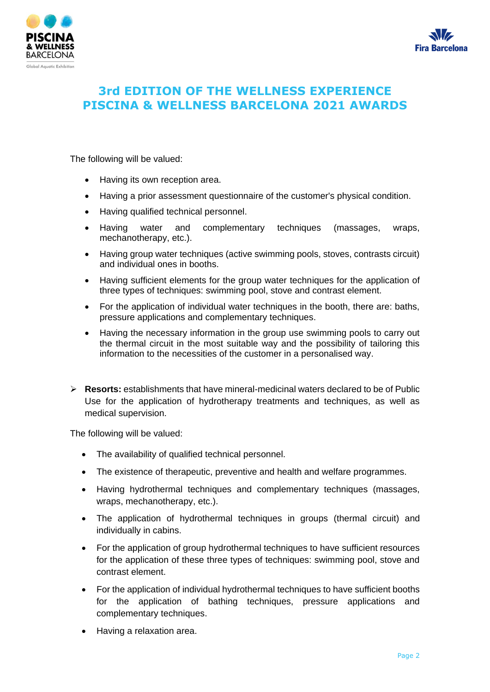



The following will be valued:

- Having its own reception area.
- Having a prior assessment questionnaire of the customer's physical condition.
- Having qualified technical personnel.
- Having water and complementary techniques (massages, wraps, mechanotherapy, etc.).
- Having group water techniques (active swimming pools, stoves, contrasts circuit) and individual ones in booths.
- Having sufficient elements for the group water techniques for the application of three types of techniques: swimming pool, stove and contrast element.
- For the application of individual water techniques in the booth, there are: baths, pressure applications and complementary techniques.
- Having the necessary information in the group use swimming pools to carry out the thermal circuit in the most suitable way and the possibility of tailoring this information to the necessities of the customer in a personalised way.
- ➢ **Resorts:** establishments that have mineral-medicinal waters declared to be of Public Use for the application of hydrotherapy treatments and techniques, as well as medical supervision.

The following will be valued:

- The availability of qualified technical personnel.
- The existence of therapeutic, preventive and health and welfare programmes.
- Having hydrothermal techniques and complementary techniques (massages, wraps, mechanotherapy, etc.).
- The application of hydrothermal techniques in groups (thermal circuit) and individually in cabins.
- For the application of group hydrothermal techniques to have sufficient resources for the application of these three types of techniques: swimming pool, stove and contrast element.
- For the application of individual hydrothermal techniques to have sufficient booths for the application of bathing techniques, pressure applications and complementary techniques.
- Having a relaxation area.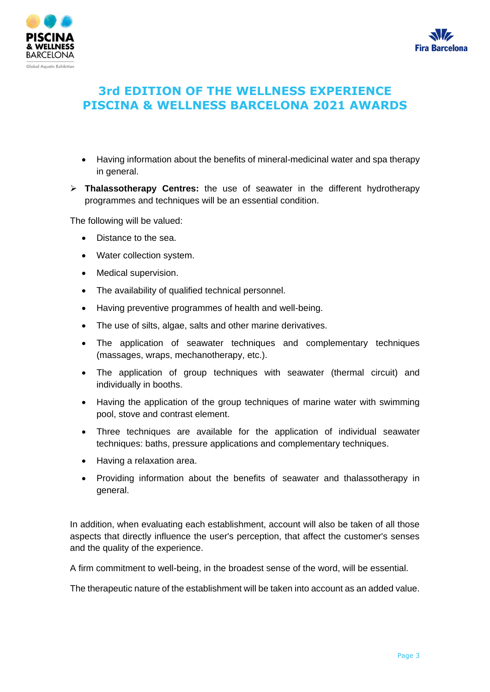



- Having information about the benefits of mineral-medicinal water and spa therapy in general.
- ➢ **Thalassotherapy Centres:** the use of seawater in the different hydrotherapy programmes and techniques will be an essential condition.

The following will be valued:

- Distance to the sea.
- Water collection system.
- Medical supervision.
- The availability of qualified technical personnel.
- Having preventive programmes of health and well-being.
- The use of silts, algae, salts and other marine derivatives.
- The application of seawater techniques and complementary techniques (massages, wraps, mechanotherapy, etc.).
- The application of group techniques with seawater (thermal circuit) and individually in booths.
- Having the application of the group techniques of marine water with swimming pool, stove and contrast element.
- Three techniques are available for the application of individual seawater techniques: baths, pressure applications and complementary techniques.
- Having a relaxation area.
- Providing information about the benefits of seawater and thalassotherapy in general.

In addition, when evaluating each establishment, account will also be taken of all those aspects that directly influence the user's perception, that affect the customer's senses and the quality of the experience.

A firm commitment to well-being, in the broadest sense of the word, will be essential.

The therapeutic nature of the establishment will be taken into account as an added value.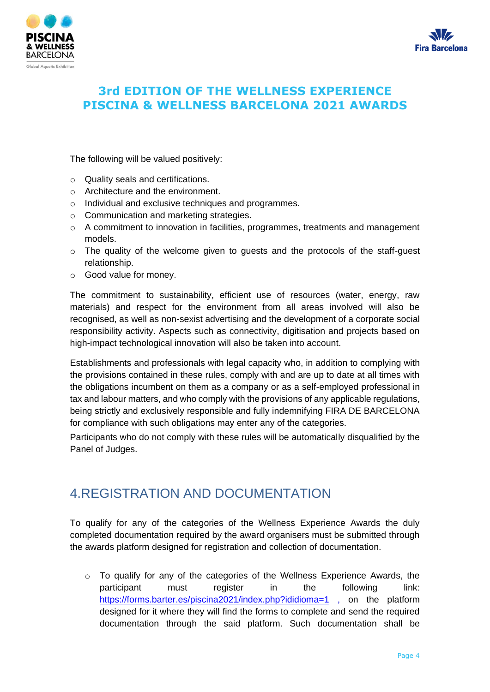



The following will be valued positively:

- o Quality seals and certifications.
- o Architecture and the environment.
- o Individual and exclusive techniques and programmes.
- o Communication and marketing strategies.
- o A commitment to innovation in facilities, programmes, treatments and management models.
- o The quality of the welcome given to guests and the protocols of the staff-guest relationship.
- o Good value for money.

The commitment to sustainability, efficient use of resources (water, energy, raw materials) and respect for the environment from all areas involved will also be recognised, as well as non-sexist advertising and the development of a corporate social responsibility activity. Aspects such as connectivity, digitisation and projects based on high-impact technological innovation will also be taken into account.

Establishments and professionals with legal capacity who, in addition to complying with the provisions contained in these rules, comply with and are up to date at all times with the obligations incumbent on them as a company or as a self-employed professional in tax and labour matters, and who comply with the provisions of any applicable regulations, being strictly and exclusively responsible and fully indemnifying FIRA DE BARCELONA for compliance with such obligations may enter any of the categories.

Participants who do not comply with these rules will be automatically disqualified by the Panel of Judges.

## 4.REGISTRATION AND DOCUMENTATION

To qualify for any of the categories of the Wellness Experience Awards the duly completed documentation required by the award organisers must be submitted through the awards platform designed for registration and collection of documentation.

 $\circ$  To qualify for any of the categories of the Wellness Experience Awards, the participant must register in the following link: <https://forms.barter.es/piscina2021/index.php?ididioma=1> , on the platform designed for it where they will find the forms to complete and send the required documentation through the said platform. Such documentation shall be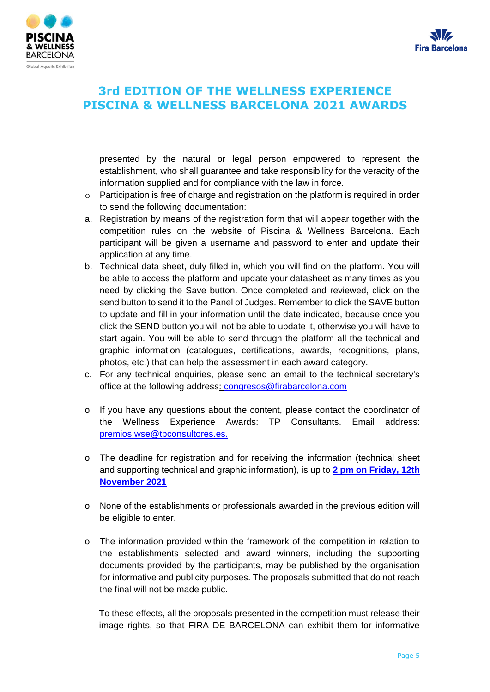



presented by the natural or legal person empowered to represent the establishment, who shall guarantee and take responsibility for the veracity of the information supplied and for compliance with the law in force.

- $\circ$  Participation is free of charge and registration on the platform is required in order to send the following documentation:
- a. Registration by means of the registration form that will appear together with the competition rules on the website of Piscina & Wellness Barcelona. Each participant will be given a username and password to enter and update their application at any time.
- b. Technical data sheet, duly filled in, which you will find on the platform. You will be able to access the platform and update your datasheet as many times as you need by clicking the Save button. Once completed and reviewed, click on the send button to send it to the Panel of Judges. Remember to click the SAVE button to update and fill in your information until the date indicated, because once you click the SEND button you will not be able to update it, otherwise you will have to start again. You will be able to send through the platform all the technical and graphic information (catalogues, certifications, awards, recognitions, plans, photos, etc.) that can help the assessment in each award category.
- c. For any technical enquiries, please send an email to the technical secretary's office at the following address: congresos@firabarcelona.com
- o If you have any questions about the content, please contact the coordinator of the Wellness Experience Awards: TP Consultants. Email address: [premios.wse@tpconsultores.es.](mailto:premios.wse@tpconsultores.es)
- o The deadline for registration and for receiving the information (technical sheet and supporting technical and graphic information), is up to **2 pm on Friday, 12th November 2021**
- o None of the establishments or professionals awarded in the previous edition will be eligible to enter.
- o The information provided within the framework of the competition in relation to the establishments selected and award winners, including the supporting documents provided by the participants, may be published by the organisation for informative and publicity purposes. The proposals submitted that do not reach the final will not be made public.

To these effects, all the proposals presented in the competition must release their image rights, so that FIRA DE BARCELONA can exhibit them for informative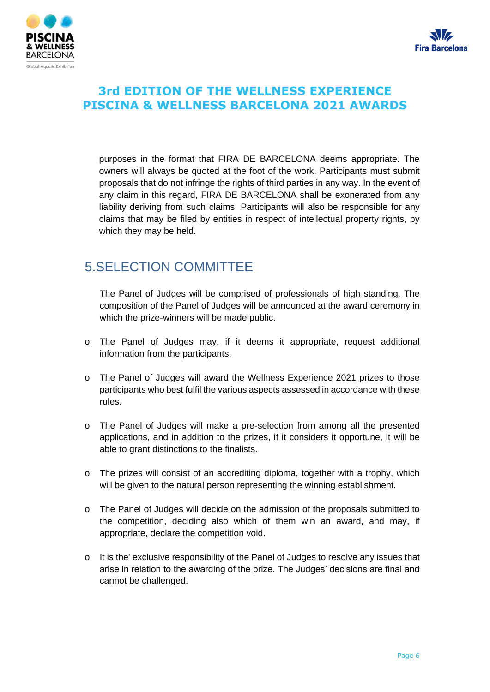



purposes in the format that FIRA DE BARCELONA deems appropriate. The owners will always be quoted at the foot of the work. Participants must submit proposals that do not infringe the rights of third parties in any way. In the event of any claim in this regard, FIRA DE BARCELONA shall be exonerated from any liability deriving from such claims. Participants will also be responsible for any claims that may be filed by entities in respect of intellectual property rights, by which they may be held.

## 5.SELECTION COMMITTEE

The Panel of Judges will be comprised of professionals of high standing. The composition of the Panel of Judges will be announced at the award ceremony in which the prize-winners will be made public.

- o The Panel of Judges may, if it deems it appropriate, request additional information from the participants.
- o The Panel of Judges will award the Wellness Experience 2021 prizes to those participants who best fulfil the various aspects assessed in accordance with these rules.
- o The Panel of Judges will make a pre-selection from among all the presented applications, and in addition to the prizes, if it considers it opportune, it will be able to grant distinctions to the finalists.
- o The prizes will consist of an accrediting diploma, together with a trophy, which will be given to the natural person representing the winning establishment.
- o The Panel of Judges will decide on the admission of the proposals submitted to the competition, deciding also which of them win an award, and may, if appropriate, declare the competition void.
- o It is the' exclusive responsibility of the Panel of Judges to resolve any issues that arise in relation to the awarding of the prize. The Judges' decisions are final and cannot be challenged.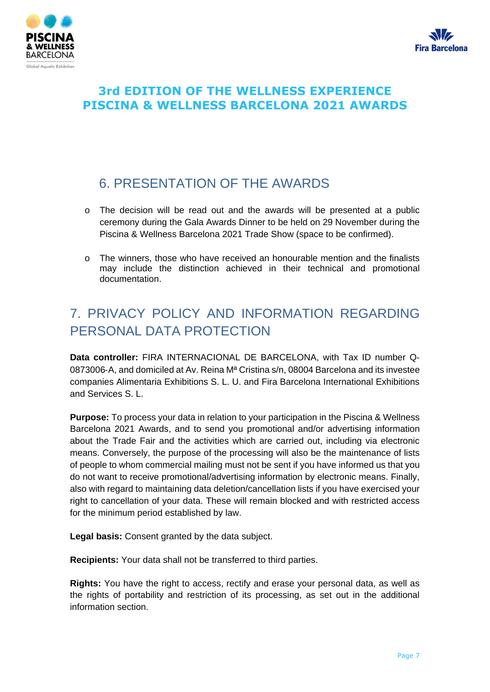



# 6. PRESENTATION OF THE AWARDS

- o The decision will be read out and the awards will be presented at a public ceremony during the Gala Awards Dinner to be held on 29 November during the Piscina & Wellness Barcelona 2021 Trade Show (space to be confirmed).
- o The winners, those who have received an honourable mention and the finalists may include the distinction achieved in their technical and promotional documentation.

# 7. PRIVACY POLICY AND INFORMATION REGARDING PERSONAL DATA PROTECTION

**Data controller:** FIRA INTERNACIONAL DE BARCELONA, with Tax ID number Q‐ 0873006-A, and domiciled at Av. Reina M<sup>a</sup> Cristina s/n, 08004 Barcelona and its investee companies Alimentaria Exhibitions S. L. U. and Fira Barcelona International Exhibitions and Services S. L.

**Purpose:** To process your data in relation to your participation in the Piscina & Wellness Barcelona 2021 Awards, and to send you promotional and/or advertising information about the Trade Fair and the activities which are carried out, including via electronic means. Conversely, the purpose of the processing will also be the maintenance of lists of people to whom commercial mailing must not be sent if you have informed us that you do not want to receive promotional/advertising information by electronic means. Finally, also with regard to maintaining data deletion/cancellation lists if you have exercised your right to cancellation of your data. These will remain blocked and with restricted access for the minimum period established by law.

**Legal basis:** Consent granted by the data subject.

**Recipients:** Your data shall not be transferred to third parties.

**Rights:** You have the right to access, rectify and erase your personal data, as well as the rights of portability and restriction of its processing, as set out in the additional information section.